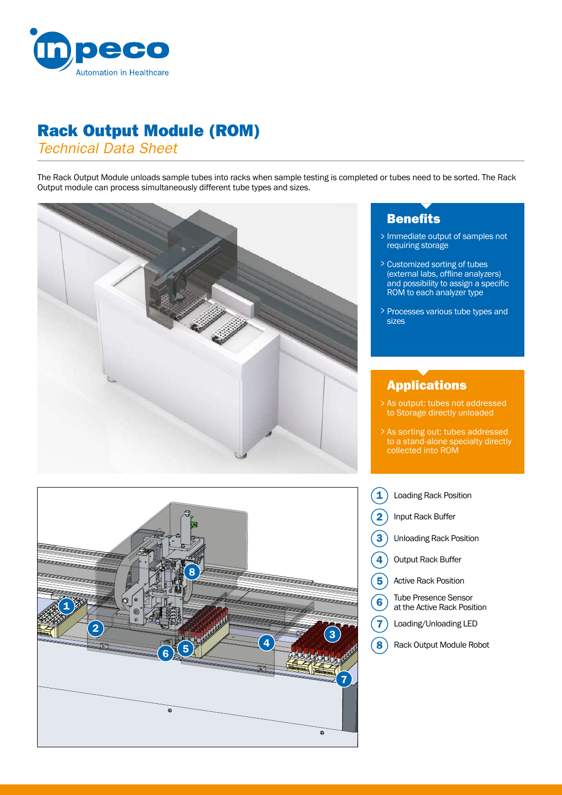

## Rack Output Module (ROM)

*Technical Data Sheet*

The Rack Output Module unloads sample tubes into racks when sample testing is completed or tubes need to be sorted. The Rack Output module can process simultaneously different tube types and sizes.





## **Benefits**

- Immediate output of samples not > requiring storage
- Customized sorting of tubes > (external labs, offline analyzers) and possibility to assign a specific ROM to each analyzer type
- > Processes various tube types and sizes

## Applications

- As output: tubes not addressed x as output: tubes not addres<br>to Storage directly unloaded
- As sorting out: tubes addressed > to a stand-alone specialty directly collected into ROM
- 1 Loading Rack Position
- Input Rack Buffer 2
- Unloading Rack Position 3
- Output Rack Buffer 4
- Active Rack Position 5
- Tube Presence Sensor at the Active Rack Position 6
- Loading/Unloading LED 7
- Rack Output Module Robot  $\mathbf{S}$